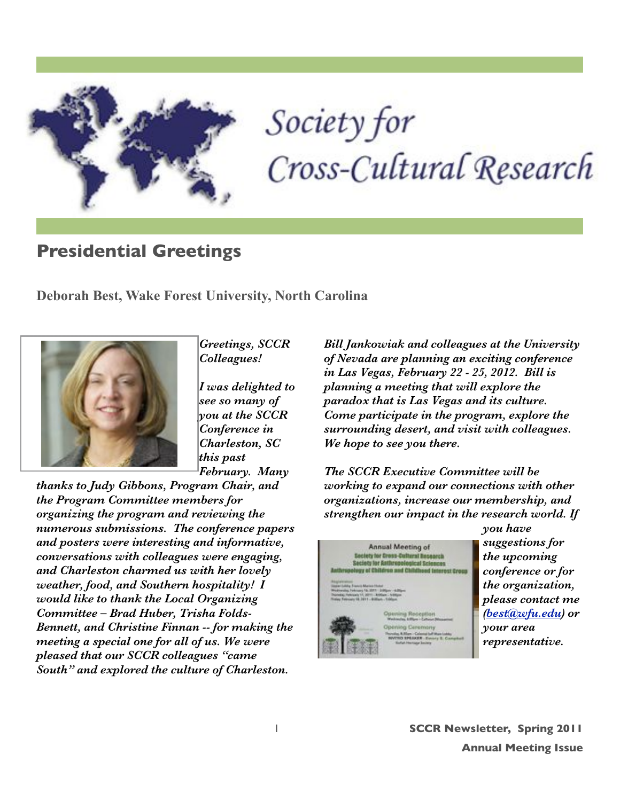

# Society for Cross-Cultural Research

# **Presidential Greetings**

**Deborah Best, Wake Forest University, North Carolina**



*Greetings, SCCR Colleagues!*

*I was delighted to see so many of you at the SCCR Conference in Charleston, SC this past February. Many* 

*thanks to Judy Gibbons, Program Chair, and the Program Committee members for organizing the program and reviewing the numerous submissions. The conference papers and posters were interesting and informative, conversations with colleagues were engaging, and Charleston charmed us with her lovely weather, food, and Southern hospitality! I would like to thank the Local Organizing Committee – Brad Huber, Trisha Folds-Bennett, and Christine Finnan -- for making the meeting a special one for all of us. We were pleased that our SCCR colleagues "came South" and explored the culture of Charleston.*

*Bill Jankowiak and colleagues at the University of Nevada are planning an exciting conference in Las Vegas, February 22 - 25, 2012. Bill is planning a meeting that will explore the paradox that is Las Vegas and its culture. Come participate in the program, explore the surrounding desert, and visit with colleagues. We hope to see you there.*

*The SCCR Executive Committee will be working to expand our connections with other organizations, increase our membership, and strengthen our impact in the research world. If* 



*you have suggestions for the upcoming conference or for the organization, please contact me [\(best@wfu.edu\)](mailto:best@wfu.edu) or your area representative.*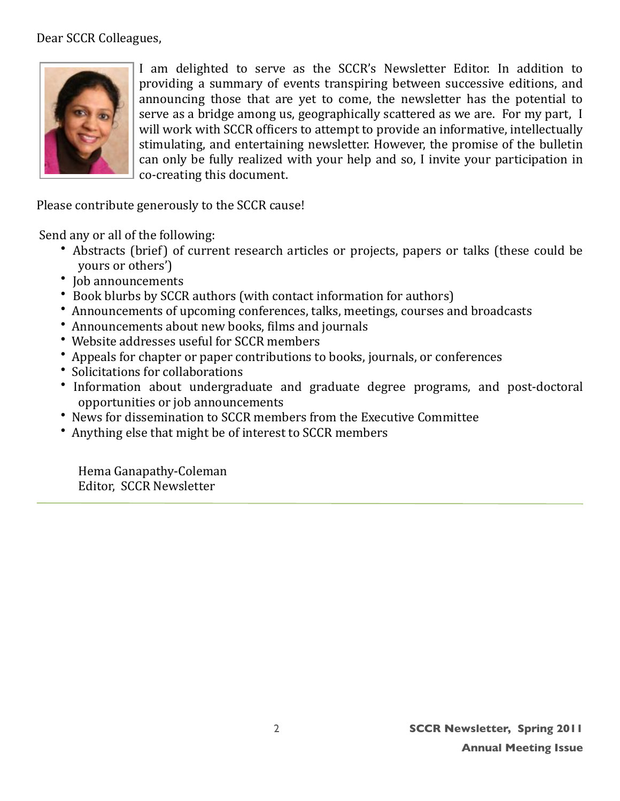Dear SCCR Colleagues,



I am delighted to serve as the SCCR's Newsletter Editor. In addition to providing a summary of events transpiring between successive editions, and announcing those that are yet to come, the newsletter has the potential to serve as a bridge among us, geographically scattered as we are. For my part, I will work with SCCR officers to attempt to provide an informative, intellectually stimulating, and entertaining newsletter. However, the promise of the bulletin can only be fully realized with your help and so, I invite your participation in co-creating this document.

Please contribute generously to the SCCR cause!

Send any or all of the following:

- Abstracts (brief) of current research articles or projects, papers or talks (these could be yours or others')
- Job announcements
- Book blurbs by SCCR authors (with contact information for authors)
- Announcements of upcoming conferences, talks, meetings, courses and broadcasts
- Announcements about new books, films and journals
- Website addresses useful for SCCR members
- Appeals for chapter or paper contributions to books, journals, or conferences
- Solicitations for collaborations
- Information about undergraduate and graduate degree programs, and post-doctoral opportunities or job announcements
- News for dissemination to SCCR members from the Executive Committee
- Anything else that might be of interest to SCCR members

Hema Ganapathy-Coleman Editor, SCCR Newsletter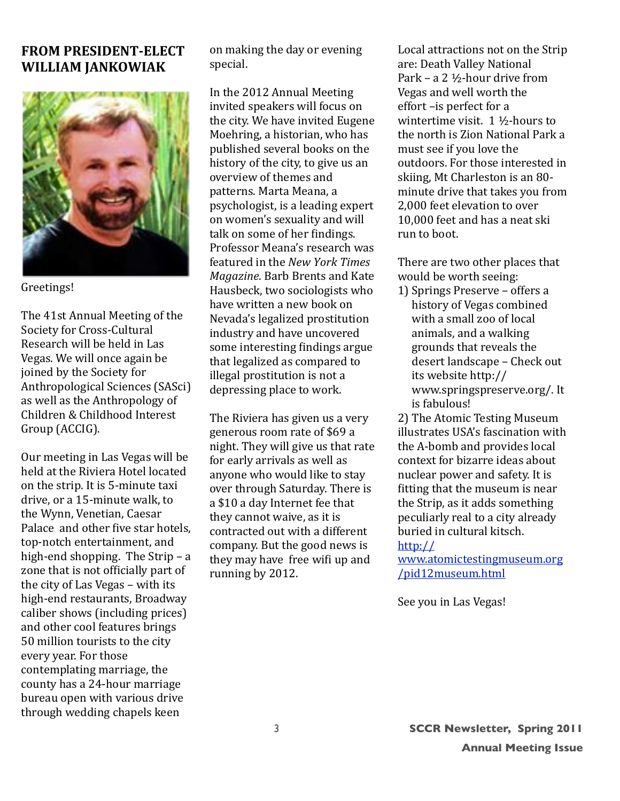#### **FROM PRESIDENT-ELECT WILLIAM JANKOWIAK**



Greetings!

The 41st Annual Meeting of the Society for Cross-Cultural Research will be held in Las Vegas. We will once again be joined by the Society for Anthropological Sciences (SASci) as well as the Anthropology of Children & Childhood Interest Group (ACCIG).

Our meeting in Las Vegas will be held at the Riviera Hotel located on the strip. It is 5-minute taxi drive, or a 15-minute walk, to the Wynn, Venetian, Caesar Palace and other five star hotels. top-notch entertainment, and high-end shopping. The Strip  $-$  a zone that is not officially part of the city of Las Vegas - with its high-end restaurants, Broadway caliber shows (including prices) and other cool features brings 50 million tourists to the city every year. For those contemplating marriage, the county has a 24-hour marriage bureau open with various drive through wedding chapels keen

on making the day or evening special.

In the 2012 Annual Meeting invited speakers will focus on the city. We have invited Eugene Moehring, a historian, who has published several books on the history of the city, to give us an overview of themes and patterns. Marta Meana, a psychologist, is a leading expert on women's sexuality and will talk on some of her findings. Professor Meana's research was featured in the New York Times Magazine. Barb Brents and Kate Hausbeck, two sociologists who have written a new book on Nevada's legalized prostitution industry and have uncovered some interesting findings argue that legalized as compared to illegal prostitution is not a depressing place to work.

The Riviera has given us a very generous room rate of \$69 a night. They will give us that rate for early arrivals as well as anyone who would like to stay over through Saturday. There is a \$10 a day Internet fee that they cannot waive, as it is contracted out with a different company. But the good news is they may have free wifi up and running by 2012.

Local attractions not on the Strip are: Death Valley National Park – a 2  $\frac{1}{2}$ -hour drive from Vegas and well worth the effort-is perfect for a wintertime visit.  $1\frac{1}{2}$ -hours to the north is Zion National Park a must see if you love the outdoors. For those interested in skiing. Mt Charleston is an 80minute drive that takes you from 2.000 feet elevation to over 10.000 feet and has a neat ski run to boot.

There are two other places that would be worth seeing:

1) Springs Preserve - offers a history of Vegas combined with a small zoo of local animals, and a walking grounds that reveals the desert landscape - Check out its website http:// www.springspreserve.org/. It is fabulous!

2) The Atomic Testing Museum illustrates USA's fascination with the A-bomb and provides local context for bizarre ideas about nuclear power and safety. It is fitting that the museum is near the Strip, as it adds something peculiarly real to a city already buried in cultural kitsch.  $http://$ 

www.atomictestingmuseum.org /pid12museum.html

See you in Las Vegas!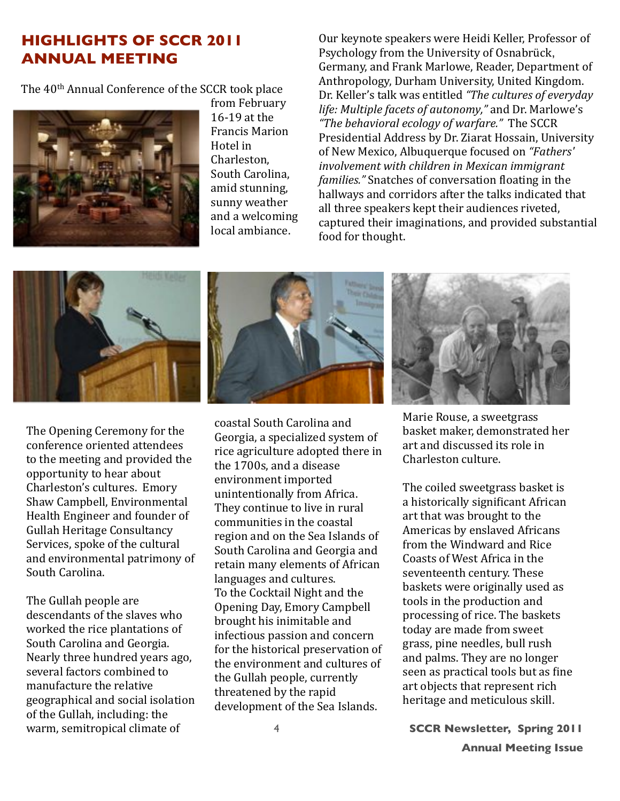### **HIGHLIGHTS OF SCCR 2011 ANNUAL MEETING**

The 40<sup>th</sup> Annual Conference of the SCCR took place



from February 16-19 at the Francis Marion Hotel in Charleston. South Carolina, amid stunning. sunny weather and a welcoming local ambiance.

Our keynote speakers were Heidi Keller, Professor of Psychology from the University of Osnabrück, Germany, and Frank Marlowe, Reader, Department of Anthropology, Durham University, United Kingdom. Dr. Keller's talk was entitled "The cultures of everyday" life: Multiple facets of autonomy," and Dr. Marlowe's *"The behavioral ecology of warfare."* The SCCR Presidential Address by Dr. Ziarat Hossain, University of New Mexico, Albuquerque focused on "Fathers' *involvement with children in Mexican immigrant families.*" Snatches of conversation floating in the hallways and corridors after the talks indicated that all three speakers kept their audiences riveted, captured their imaginations, and provided substantial food for thought.



The Opening Ceremony for the conference oriented attendees to the meeting and provided the opportunity to hear about Charleston's cultures. Emory Shaw Campbell, Environmental Health Engineer and founder of Gullah Heritage Consultancy Services, spoke of the cultural and environmental patrimony of South Carolina.

The Gullah people are descendants of the slaves who worked the rice plantations of South Carolina and Georgia. Nearly three hundred years ago, several factors combined to manufacture the relative geographical and social isolation of the Gullah, including: the warm, semitropical climate of



coastal South Carolina and Georgia, a specialized system of rice agriculture adopted there in the 1700s, and a disease environment imported unintentionally from Africa. They continue to live in rural communities in the coastal region and on the Sea Islands of South Carolina and Georgia and retain many elements of African languages and cultures. To the Cocktail Night and the Opening Day, Emory Campbell brought his inimitable and infectious passion and concern for the historical preservation of the environment and cultures of the Gullah people, currently threatened by the rapid development of the Sea Islands.



Marie Rouse, a sweetgrass basket maker, demonstrated her art and discussed its role in Charleston culture.

The coiled sweetgrass basket is a historically significant African art that was brought to the Americas by enslaved Africans from the Windward and Rice Coasts of West Africa in the seventeenth century. These baskets were originally used as tools in the production and processing of rice. The baskets today are made from sweet grass, pine needles, bull rush and palms. They are no longer seen as practical tools but as fine art objects that represent rich heritage and meticulous skill.

4 **SCCR Newsletter, Spring 2011**

**Annual Meeting Issue**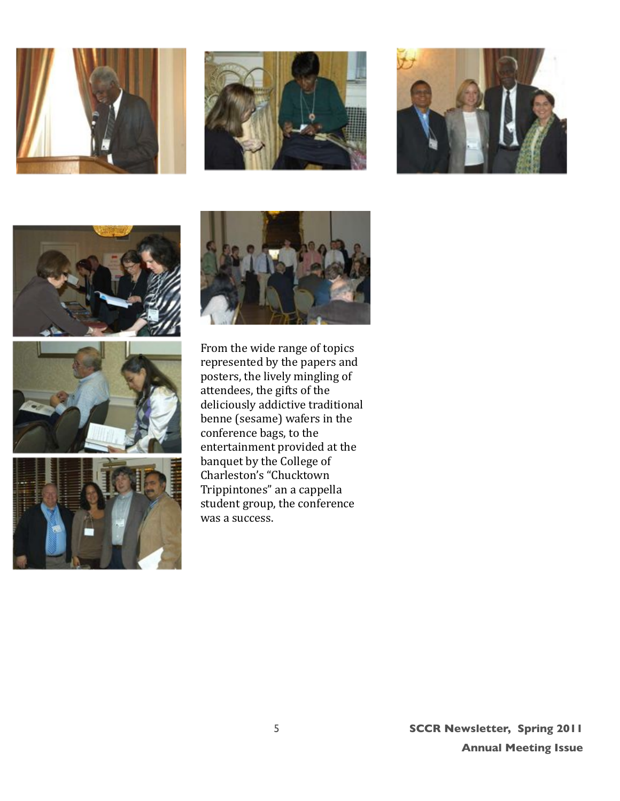













From the wide range of topics represented by the papers and posters, the lively mingling of  $at$ endees, the gifts of the deliciously addictive traditional benne (sesame) wafers in the conference bags, to the entertainment provided at the banquet by the College of Charleston's "Chucktown Trippintones" an a cappella student group, the conference was a success.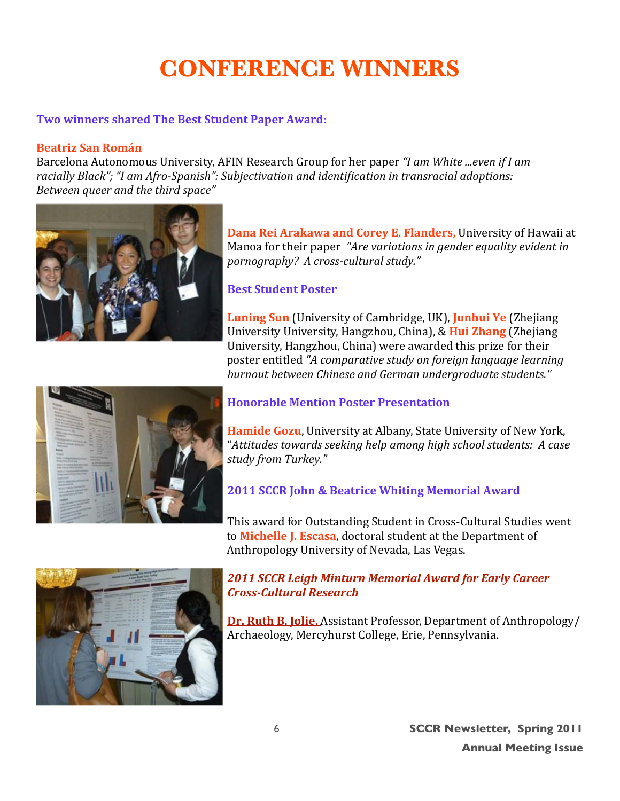# **CONFERENCE WINNERS**

#### Two winners shared The Best Student Paper Award:

#### **Beatriz San Román**

Barcelona Autonomous University, AFIN Research Group for her paper "I am White ...even if I am racially Black"; "I am Afro-Spanish": Subjectivation and identification in transracial adoptions: Between queer and the third space"



Dana Rei Arakawa and Corey E. Flanders, University of Hawaii at Manoa for their paper "Are variations in gender equality evident in pornography? A cross-cultural study."

#### **Best Student Poster**

**Luning Sun** (University of Cambridge, UK), Junhui Ye (Zhejiang University University, Hangzhou, China), & Hui Zhang (Zhejiang University, Hangzhou, China) were awarded this prize for their poster entitled "A comparative study on foreign language learning burnout between Chinese and German undergraduate students."



#### **Honorable Mention Poster Presentation**

**Hamide Gozu**, University at Albany, State University of New York, "Attitudes towards seeking help among high school students: A case study from Turkey."

#### **2011 SCCR John & Beatrice Whiting Memorial Award**

This award for Outstanding Student in Cross-Cultural Studies went to Michelle J. Escasa, doctoral student at the Department of Anthropology University of Nevada, Las Vegas.



#### **2011 SCCR Leigh Minturn Memorial Award for Early Career Cross-Cultural Research**

**Dr. Ruth B. Jolie, Assistant Professor, Department of Anthropology/** Archaeology, Mercyhurst College, Erie, Pennsylvania.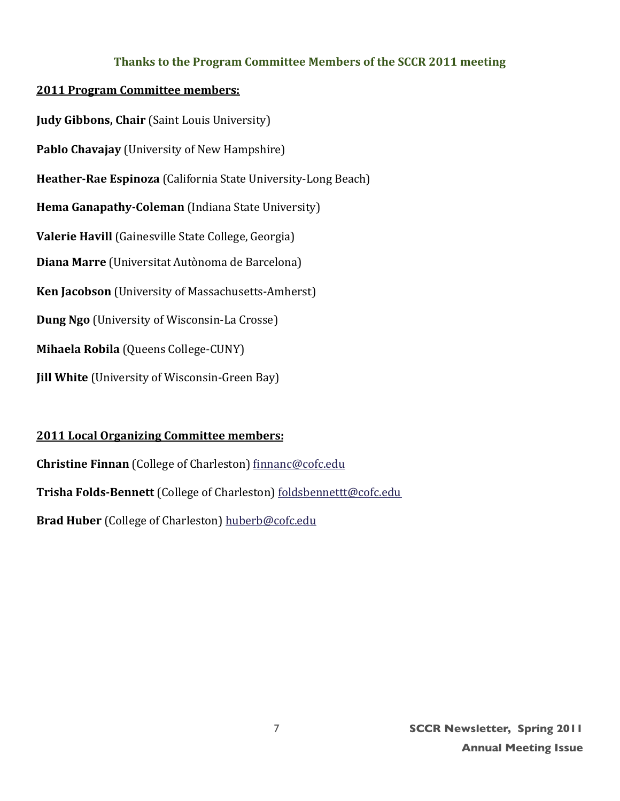#### Thanks to the Program Committee Members of the SCCR 2011 meeting

#### **2011 Program Committee members:**

**Judy Gibbons, Chair (Saint Louis University)** Pablo Chavajay (University of New Hampshire) Heather-Rae Espinoza (California State University-Long Beach) Hema Ganapathy-Coleman (Indiana State University) Valerie Havill (Gainesville State College, Georgia) Diana Marre (Universitat Autònoma de Barcelona) Ken Jacobson (University of Massachusetts-Amherst) **Dung Ngo** (University of Wisconsin-La Crosse) Mihaela Robila (Queens College-CUNY) **Jill White** (University of Wisconsin-Green Bay)

#### **2011 Local Organizing Committee members:**

Christine Finnan (College of Charleston) finnanc@cofc.edu Trisha Folds-Bennett (College of Charleston) foldsbennettt@cofc.edu Brad Huber (College of Charleston) huberb@cofc.edu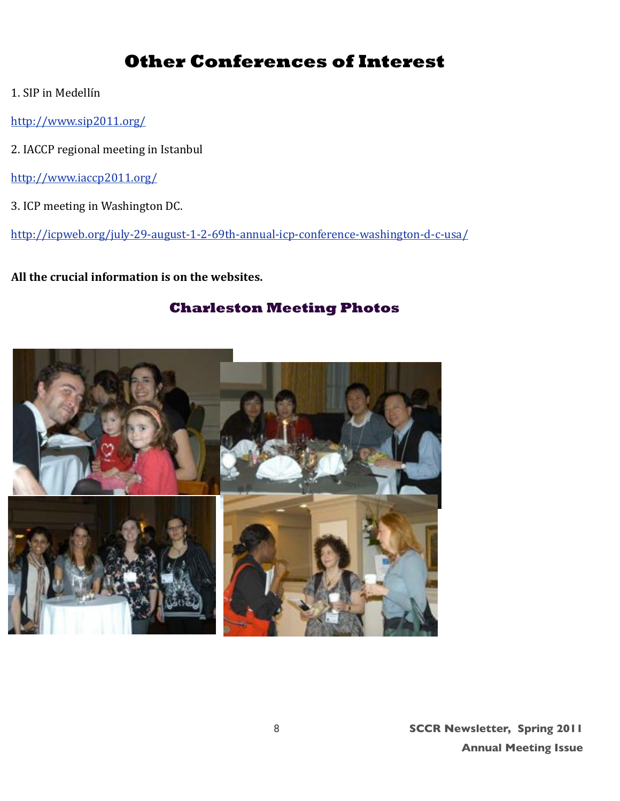# **Other Conferences of Interest**

- 1. SIP in Medellín
- http://www.sip2011.org/
- 2. IACCP regional meeting in Istanbul
- http://www.iaccp2011.org/
- 3. ICP meeting in Washington DC.

http://icpweb.org/july-29-august-1-2-69th-annual-icp-conference-washington-d-c-usa/

All the crucial information is on the websites.

#### **Charleston Meeting Photos**

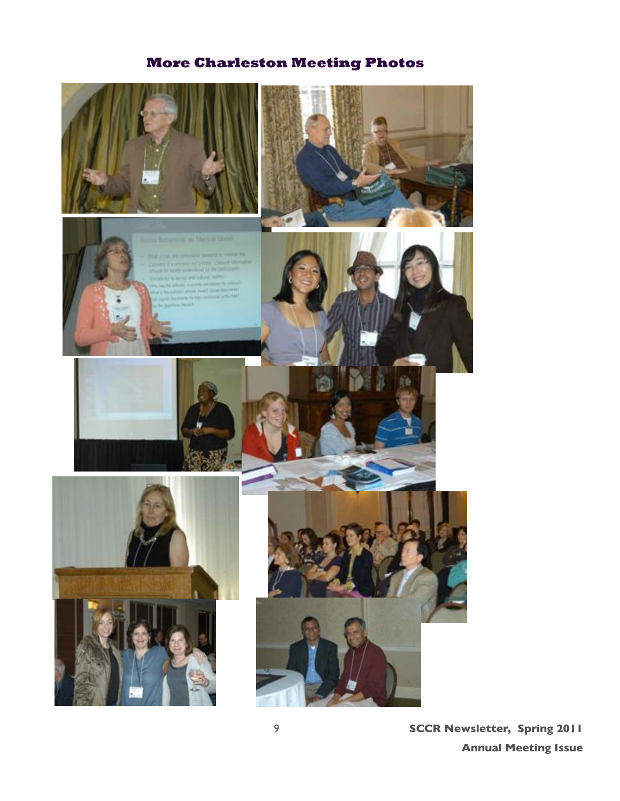# **More Charleston Meeting Photos**



9 **SCCR Newsletter, Spring 2011 Annual Meeting Issue**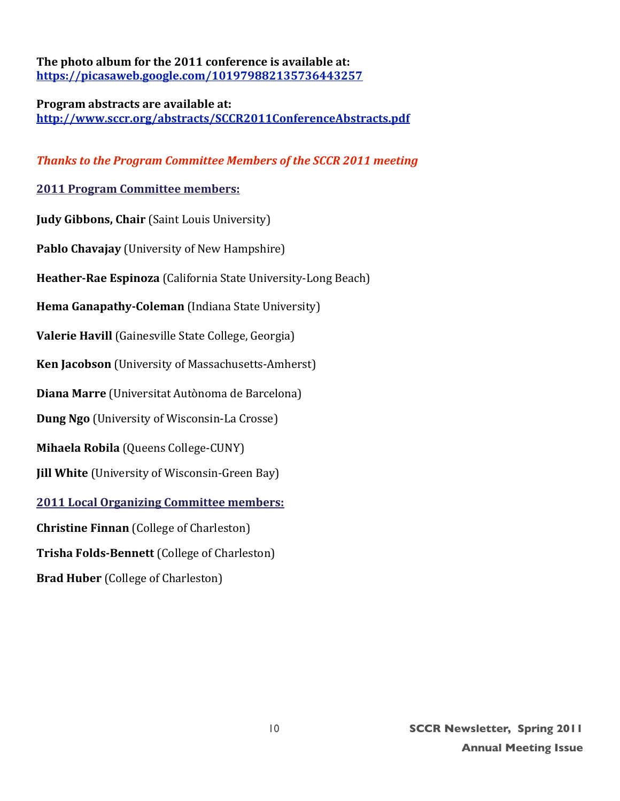The photo album for the 2011 conference is available at: https://picasaweb.google.com/101979882135736443257

#### **Program abstracts are available at:** http://www.sccr.org/abstracts/SCCR2011ConferenceAbstracts.pdf

#### **Thanks to the Program Committee Members of the SCCR 2011 meeting**

#### **2011 Program Committee members:**

**Judy Gibbons, Chair** (Saint Louis University) **Pablo Chavajay** (University of New Hampshire) **Heather-Rae Espinoza** (California State University-Long Beach) **Hema Ganapathy-Coleman** (Indiana State University) **Valerie Havill** (Gainesville State College, Georgia) **Ken Jacobson** (University of Massachusetts-Amherst) **Diana Marre** (Universitat Autònoma de Barcelona) **Dung Ngo** (University of Wisconsin-La Crosse) **Mihaela Robila** (Queens College-CUNY) **Iill White** (University of Wisconsin-Green Bay) **2011 Local Organizing Committee members: Christine Finnan** (College of Charleston) **Trisha Folds-Bennett** (College of Charleston) **Brad Huber** (College of Charleston)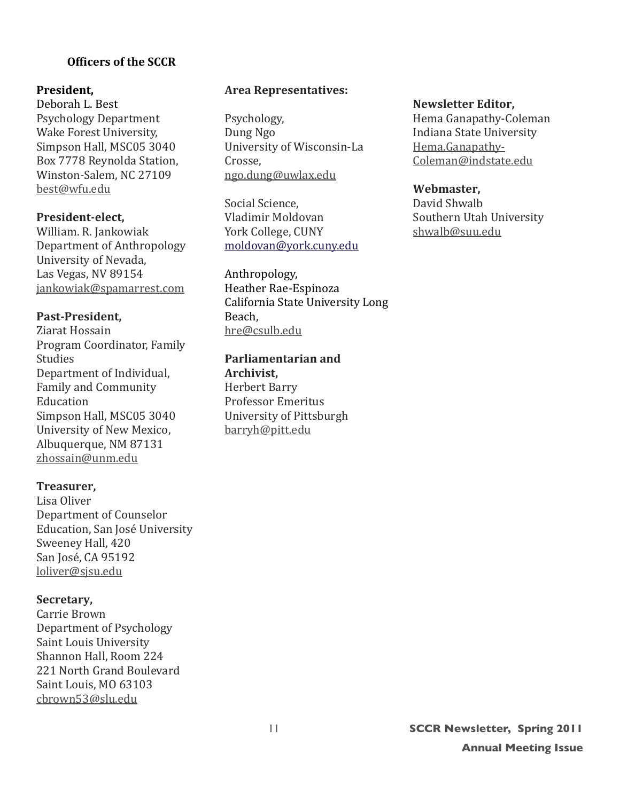#### **A** Officers of the SCCR

#### **President.**

Deborah L. Best Psychology Department Wake Forest University, Simpson Hall, MSC05 3040 Box 7778 Reynolda Station, Winston-Salem, NC 27109 best@wfu.edu

#### **President-elect,**

William. R. Jankowiak Department of Anthropology University of Nevada, Las Vegas, NV 89154 jankowiak@spamarrest.com

#### Past-President,

Ziarat Hossain Program Coordinator, Family Studies Department of Individual, Family and Community Education Simpson Hall, MSC05 3040 University of New Mexico, Albuquerque, NM 87131 zhossain@unm.edu

#### **Treasurer,**

Lisa Oliver Department of Counselor Education, San José University Sweeney Hall, 420 San José, CA 95192 loliver@sjsu.edu

#### Secretary,

**Carrie Brown** Department of Psychology Saint Louis University Shannon Hall, Room 224 221 North Grand Boulevard Saint Louis, MO 63103 cbrown53@slu.edu

#### **Area Representatives:**

Psychology, Dung Ngo University of Wisconsin-La Crosse. ngo.dung@uwlax.edu

Social Science. Vladimir Moldovan York College, CUNY moldovan@vork.cunv.edu

Anthropology, Heather Rae-Espinoza California State University Long Beach, hre@csulb.edu

**Parliamentarian and** Archivist. Herbert Barry Professor Emeritus University of Pittsburgh barryh@pitt.edu

#### **Newsletter Editor,**

Hema Ganapathy-Coleman Indiana State University Hema.Ganapathy-Coleman@indstate.edu

#### Webmaster.

David Shwalh Southern Utah University shwalb@suu.edu